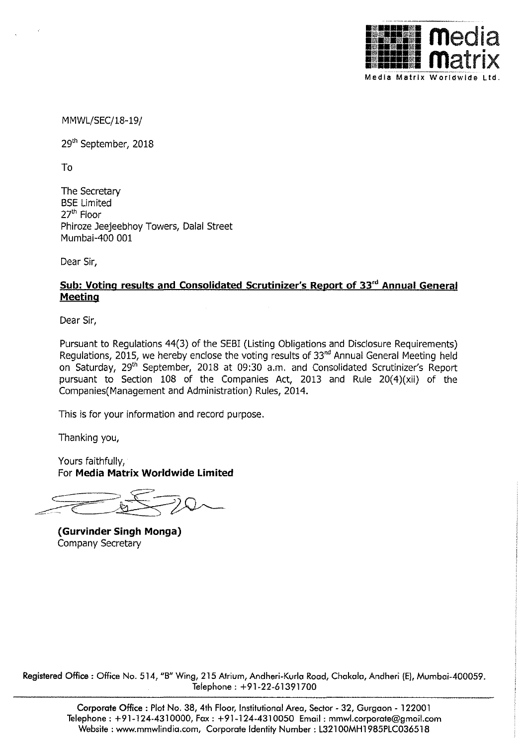

MMWL/SEC/18-19/

29'h September, 2018

To

The Secretary BSE Limited 27'h Floor Phiroze Jeejeebhoy Towers, Dalal Street Mumbai-400 001

Dear Sir,

## **Sub: Voting results and Consolidated Scrutinizer's Report of 33'd Annual General Meeting**

Dear Sir,

Pursuant to Regulations 44(3) of the SEBI (Listing Obligations and Disclosure Requirements) Regulations, 2015, we hereby enclose the voting results of 33<sup>nd</sup> Annual General Meeting held on Saturday, 29<sup>th</sup> September, 2018 at 09:30 a.m. and Consolidated Scrutinizer's Report pursuant to Section 108 of the Companies Act, 2013 and Rule 20(4)(xii) of the Companies( Management and Administration) Rules, 2014.

This is for your information and record purpose.

Thanking you,

Yours faithfully, For **Media Matrix Worldwide Limited** 

 $70 - 20$ 

**{Gurvinder Singh Monga)**  Company Secretary

Registered Office: Office No. 514, "B" Wing, 215 Atrium, Andheri-Kurla Road, Chakala, Andheri (E), Mumbai-400059. Telephone: +91-22-61391700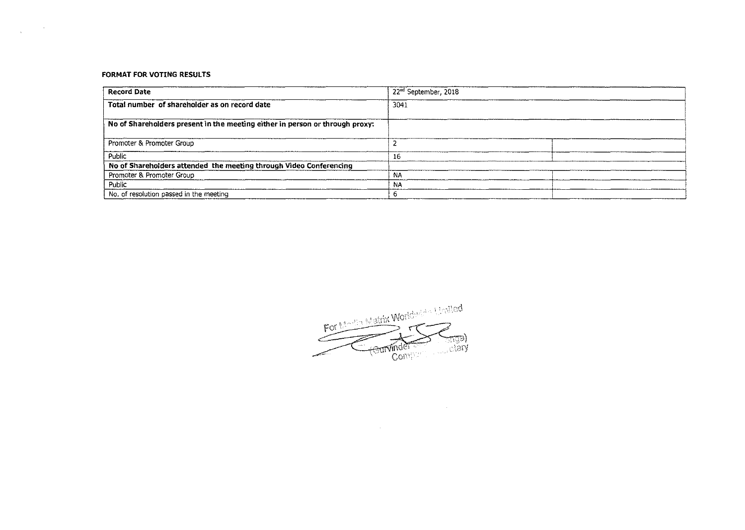## **FORMAT FOR VOTING RESULTS**

 $\label{eq:2} \frac{1}{\sqrt{2\pi}}\frac{1}{\sqrt{2\pi}}\left(\frac{1}{\sqrt{2\pi}}\right)^{2/3}\frac{1}{\sqrt{2\pi}}\frac{1}{\sqrt{2\pi}}\frac{1}{\sqrt{2\pi}}\frac{1}{\sqrt{2\pi}}\frac{1}{\sqrt{2\pi}}\frac{1}{\sqrt{2\pi}}\frac{1}{\sqrt{2\pi}}\frac{1}{\sqrt{2\pi}}\frac{1}{\sqrt{2\pi}}\frac{1}{\sqrt{2\pi}}\frac{1}{\sqrt{2\pi}}\frac{1}{\sqrt{2\pi}}\frac{1}{\sqrt{2\pi}}\frac{1}{\sqrt{2\pi}}$ 

| <b>Record Date</b>                                                           | 22 <sup>nd</sup> September, 2018 |  |  |  |  |  |
|------------------------------------------------------------------------------|----------------------------------|--|--|--|--|--|
| Total number of shareholder as on record date                                | 3041                             |  |  |  |  |  |
| No of Shareholders present in the meeting either in person or through proxy: |                                  |  |  |  |  |  |
| Promoter & Promoter Group                                                    |                                  |  |  |  |  |  |
| Public                                                                       | 16                               |  |  |  |  |  |
| No of Shareholders attended the meeting through Video Conferencing           |                                  |  |  |  |  |  |
| Promoter & Promoter Group                                                    | N۵                               |  |  |  |  |  |
| Public                                                                       | NA.                              |  |  |  |  |  |
| No, of resolution passed in the meeting                                      |                                  |  |  |  |  |  |

For Marchin Matrix Worldwide United **Company**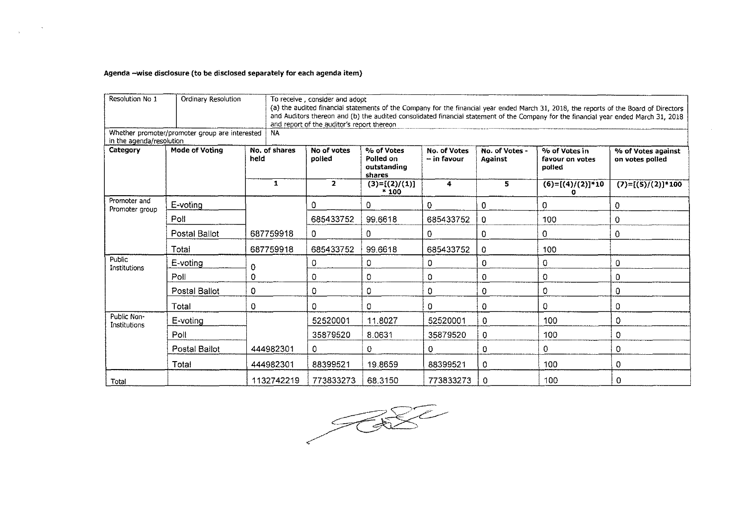## Agenda -wise disclosure (to be disclosed separately for each agenda item)

 $\alpha$  ,  $\alpha$  ,  $\alpha$ 

 $\hat{\mathcal{L}}_{\text{max}}$ 

| Resolution No 1                | Ordinary Resolution                            |                       | To receive, consider and adoot<br>(a) the audited financial statements of the Company for the financial year ended March 31, 2018, the reports of the Board of Directors<br>and Auditors thereon and (b) the audited consolidated financial statement of the Company for the financial year ended March 31, 2018<br>and report of the auditor's report thereon |                                                  |                             |                           |                                            |                                       |  |  |  |  |
|--------------------------------|------------------------------------------------|-----------------------|----------------------------------------------------------------------------------------------------------------------------------------------------------------------------------------------------------------------------------------------------------------------------------------------------------------------------------------------------------------|--------------------------------------------------|-----------------------------|---------------------------|--------------------------------------------|---------------------------------------|--|--|--|--|
| in the agenda/resolution       | Whether promoter/promoter group are interested | <b>NA</b>             |                                                                                                                                                                                                                                                                                                                                                                |                                                  |                             |                           |                                            |                                       |  |  |  |  |
| Category                       | Mode of Voting                                 | No. of shares<br>held | No of votes<br>polled                                                                                                                                                                                                                                                                                                                                          | % of Votes<br>Polled on<br>outstanding<br>shares | No. of Votes<br>– in favour | No. of Votes -<br>Against | % of Votes in<br>favour on votes<br>polled | % of Votes against<br>on votes polled |  |  |  |  |
|                                |                                                | 1                     | $\mathbf{2}$                                                                                                                                                                                                                                                                                                                                                   | $(3)=[(2)/(1)]$<br>$*100$                        | 4                           | 5                         | $(6)=[(4)/(2)]*10$                         | $(7)=[(5)/(2)]*100$                   |  |  |  |  |
| Promoter and<br>Promoter group | E-voting                                       |                       | 0                                                                                                                                                                                                                                                                                                                                                              | 0                                                | $\mathbf{0}$                | 0                         | 0                                          | 0                                     |  |  |  |  |
|                                | Poll                                           |                       | 685433752                                                                                                                                                                                                                                                                                                                                                      | 99.6618                                          | 685433752                   | 0                         | 100                                        | 0                                     |  |  |  |  |
|                                | Postal Ballot                                  | 687759918             | $\overline{O}$                                                                                                                                                                                                                                                                                                                                                 | $\mathbf 0$                                      | 0                           | 0                         | 0                                          | 0                                     |  |  |  |  |
|                                | Total                                          | 687759918             | 685433752                                                                                                                                                                                                                                                                                                                                                      | 99.6618                                          | 685433752                   | 0                         | 100                                        |                                       |  |  |  |  |
| Public<br>Institutions         | E-voting                                       | $\Omega$              | 0                                                                                                                                                                                                                                                                                                                                                              | 0                                                | 0                           | 0                         | 0                                          | 0                                     |  |  |  |  |
|                                | Poll                                           | 0                     | 0                                                                                                                                                                                                                                                                                                                                                              | 0                                                | 0                           | 0                         | 0                                          | 0                                     |  |  |  |  |
|                                | Postal Ballot                                  | 0                     | $\mathbf 0$                                                                                                                                                                                                                                                                                                                                                    | 0                                                | 0                           | 0                         | 0                                          | 0                                     |  |  |  |  |
|                                | Total                                          | 0                     | $\Omega$                                                                                                                                                                                                                                                                                                                                                       | 0                                                | 0                           | 0                         | 0                                          | 0                                     |  |  |  |  |
| Public Non-<br>Institutions    | $E$ -voting                                    |                       | 52520001                                                                                                                                                                                                                                                                                                                                                       | 11.8027                                          | 52520001                    | 0                         | 100                                        | 0                                     |  |  |  |  |
|                                | Poll                                           |                       | 35879520                                                                                                                                                                                                                                                                                                                                                       | 8.0631                                           | 35879520                    | 0                         | 100                                        | 0                                     |  |  |  |  |
|                                | Postal Ballot                                  | 444982301             | 0                                                                                                                                                                                                                                                                                                                                                              | 0                                                | 0                           | $\Omega$                  | 0                                          | 0                                     |  |  |  |  |
|                                | Total                                          | 444982301             | 88399521                                                                                                                                                                                                                                                                                                                                                       | 19.8659                                          | 88399521                    | 0                         | 100                                        | 0                                     |  |  |  |  |
| Total                          |                                                | 1132742219            | 773833273                                                                                                                                                                                                                                                                                                                                                      | 68.3150                                          | 773833273                   | 0                         | 100                                        | 0                                     |  |  |  |  |

 $\frac{1}{\sqrt{2}}$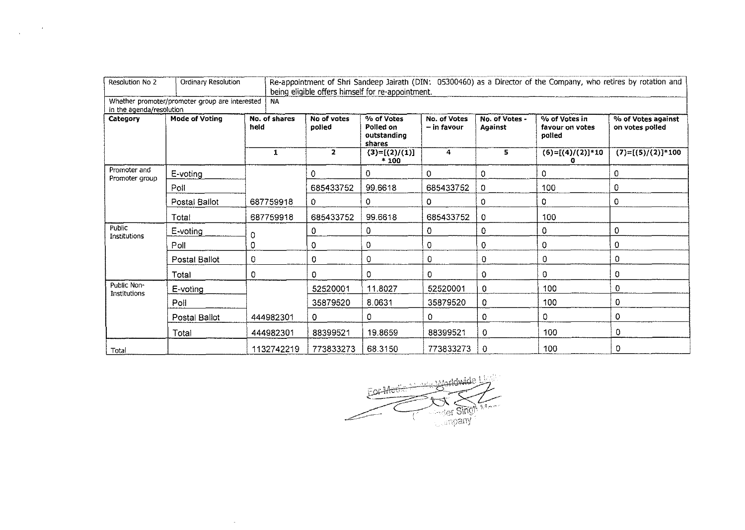| Resolution No 2                      | Ordinary Resolution                            |                       | Re-appointment of Shri Sandeep Jairath (DIN: 05300460) as a Director of the Company, who retires by rotation and<br>being eligible offers himself for re-appointment. |                                                  |                             |                           |                                            |                                                              |  |  |  |  |
|--------------------------------------|------------------------------------------------|-----------------------|-----------------------------------------------------------------------------------------------------------------------------------------------------------------------|--------------------------------------------------|-----------------------------|---------------------------|--------------------------------------------|--------------------------------------------------------------|--|--|--|--|
|                                      | Whether promoter/promoter group are interested | NA                    |                                                                                                                                                                       |                                                  |                             |                           |                                            |                                                              |  |  |  |  |
| in the agenda/resolution<br>Category | <b>Mode of Voting</b>                          | No. of shares<br>held | No of votes<br>polled                                                                                                                                                 | % of Votes<br>Polled on<br>outstanding<br>shares | No. of Votes<br>- in favour | No. of Votes -<br>Against | % of Votes in<br>favour on votes<br>polled | % of Votes against<br>on votes polled<br>$(7)=[(5)/(2)]*100$ |  |  |  |  |
|                                      |                                                | 1                     | $\mathbf{2}$                                                                                                                                                          | $(3)=[(2)/(1)]$<br>$*100$                        | 4                           | 5                         | $(6)=[(4)/(2)]*10$<br>a                    |                                                              |  |  |  |  |
| Promoter and<br>Promoter group       | E-voting                                       |                       | $\Omega$                                                                                                                                                              | 0                                                | 0                           | 0                         | 0                                          | 0                                                            |  |  |  |  |
|                                      | Poll                                           |                       | 685433752                                                                                                                                                             | 99.6618                                          | 685433752                   | 0                         | 100                                        | 0                                                            |  |  |  |  |
|                                      | Postal Ballot                                  | 687759918             | 0.                                                                                                                                                                    | 0                                                | 0                           | $\mathbf 0$               | 0                                          | $\mathbf 0$                                                  |  |  |  |  |
|                                      | Total                                          | 687759918             | 685433752                                                                                                                                                             | 99.6618                                          | 685433752                   | 0                         | 100                                        |                                                              |  |  |  |  |
| Public<br>Institutions               | E-voting                                       | 0                     | 0                                                                                                                                                                     | 0                                                | 0                           | $\Omega$                  | 0                                          | $\circ$                                                      |  |  |  |  |
|                                      | Poll                                           | 0                     | 0                                                                                                                                                                     | 0                                                | 0                           | 0                         | $\mathbf 0$                                | $\Omega$                                                     |  |  |  |  |
|                                      | Postal Ballot                                  | 0                     | 0                                                                                                                                                                     | 0                                                | 0                           | 0                         | $\mathbf 0$                                | $\Omega$                                                     |  |  |  |  |
|                                      | Total                                          | 0                     | 0                                                                                                                                                                     | 0                                                | 0                           | 0                         | $\Omega$                                   | 0                                                            |  |  |  |  |
| Public Non-<br>Institutions          | E-voting                                       |                       | 52520001                                                                                                                                                              | 11.8027                                          | 52520001                    | 0                         | 100                                        | 0                                                            |  |  |  |  |
|                                      | Poll                                           |                       | 35879520                                                                                                                                                              | 8.0631                                           | 35879520                    | 0                         | 100                                        | 0                                                            |  |  |  |  |
|                                      | Postal Ballot                                  | 444982301             | 0                                                                                                                                                                     | 0                                                | 0                           | 0                         | 0                                          | 0                                                            |  |  |  |  |
|                                      | Total                                          | 444982301             | 88399521                                                                                                                                                              | 19.8659                                          | 88399521                    | 0                         | 100                                        | 0                                                            |  |  |  |  |
| Total                                |                                                | 1132742219            | 773833273                                                                                                                                                             | 68.3150                                          | 773833273                   | 0                         | 100                                        | 0                                                            |  |  |  |  |

 $\label{eq:2.1} \frac{1}{\sqrt{2\pi}}\int_{0}^{\infty}\frac{dx}{\sqrt{2\pi}}\,dx\leq \frac{1}{2\sqrt{2\pi}}\int_{0}^{\infty}\frac{dx}{\sqrt{2\pi}}\,dx$ 



 $\sim$  8  $^{\circ}$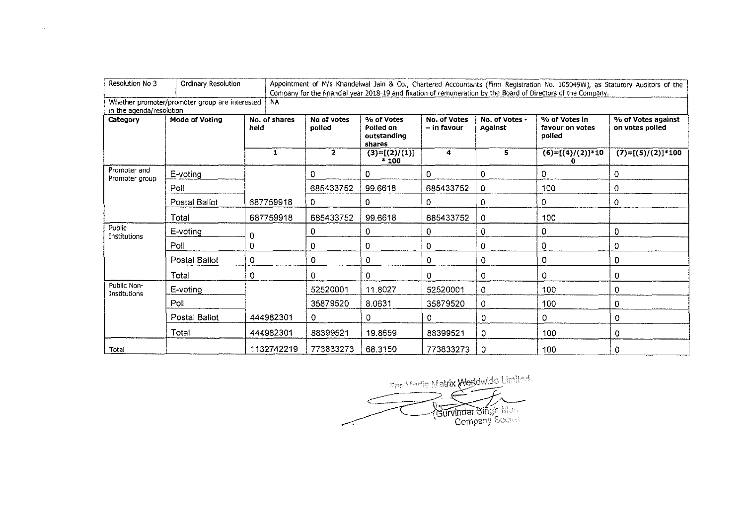| Resolution No 3                | Ordinary Resolution                            |                       | Appointment of M/s Khandelwal Jain & Co., Chartered Accountants (Firm Registration No. 105049W), as Statutory Auditors of the<br>Company for the financial year 2018-19 and fixation of remuneration by the Board of Directors of the Company. |                                                  |                             |                           |                                            |                                                              |  |  |  |  |
|--------------------------------|------------------------------------------------|-----------------------|------------------------------------------------------------------------------------------------------------------------------------------------------------------------------------------------------------------------------------------------|--------------------------------------------------|-----------------------------|---------------------------|--------------------------------------------|--------------------------------------------------------------|--|--|--|--|
| in the agenda/resolution       | Whether promoter/promoter group are interested | <b>NA</b>             |                                                                                                                                                                                                                                                |                                                  |                             |                           |                                            |                                                              |  |  |  |  |
| Category                       | Mode of Voting                                 | No. of shares<br>held | No of votes<br>poiled                                                                                                                                                                                                                          | % of Votes<br>Polled on<br>outstanding<br>shares | No. of Votes<br>- in favour | No. of Votes -<br>Against | % of Votes in<br>favour on votes<br>polled | % of Votes against<br>on votes polled<br>$(7)=[(5)/(2)]*100$ |  |  |  |  |
|                                |                                                | 1                     | $\overline{2}$                                                                                                                                                                                                                                 | $(3)=[(2)/(1)]$<br>$*100$                        | 4                           | 5                         | $(6)=[(4)/(2)]*10$                         |                                                              |  |  |  |  |
| Promoter and<br>Promoter group | $E$ -voting                                    |                       | $\Omega$                                                                                                                                                                                                                                       | 0                                                | 0                           | 0                         | 0                                          | 0                                                            |  |  |  |  |
|                                | Poll                                           |                       | 685433752                                                                                                                                                                                                                                      | 99.6618                                          | 685433752                   | $\circ$                   | 100                                        | $\mathbf 0$                                                  |  |  |  |  |
|                                | Postal Ballot                                  | 687759918             | $\Omega$                                                                                                                                                                                                                                       | $\mathbf{0}$                                     | 0                           | $\Omega$                  | 0                                          | $\theta$                                                     |  |  |  |  |
|                                | Total                                          | 687759918             | 685433752                                                                                                                                                                                                                                      | 99.6618                                          | 685433752                   | 0                         | 100                                        |                                                              |  |  |  |  |
| Public<br>Institutions         | E-voting                                       | 0                     | 0                                                                                                                                                                                                                                              | 0                                                | 0                           | $\mathbf 0$               | 0                                          | 0                                                            |  |  |  |  |
|                                | Poll                                           | 0                     | 0                                                                                                                                                                                                                                              | 0                                                | 0                           | $\Omega$                  | $\mathbf 0$                                | 0                                                            |  |  |  |  |
|                                | Postal Ballot                                  | 0                     | $\Omega$                                                                                                                                                                                                                                       | 0                                                | 0                           | 0                         | $\circ$                                    | 0                                                            |  |  |  |  |
|                                | Total                                          | 0                     | 0                                                                                                                                                                                                                                              | 0                                                | 0                           | 0                         | 0                                          | 0                                                            |  |  |  |  |
| Public Non-<br>Institutions    | E-voting                                       |                       | 52520001                                                                                                                                                                                                                                       | 11.8027                                          | 52520001                    | 0                         | 100                                        | $\mathbf 0$                                                  |  |  |  |  |
|                                | Poll                                           |                       | 35879520                                                                                                                                                                                                                                       | 8.0631                                           | 35879520                    | 0                         | 100                                        | 0                                                            |  |  |  |  |
|                                | Postal Ballot                                  | 444982301             | $\mathbf{O}$                                                                                                                                                                                                                                   | 0.                                               | 0                           | 0                         | 0                                          | 0                                                            |  |  |  |  |
|                                | Total                                          | 444982301             | 88399521                                                                                                                                                                                                                                       | 19.8659                                          | 88399521                    | 0                         | 100                                        | 0                                                            |  |  |  |  |
| Total                          |                                                | 1132742219            | 773833273                                                                                                                                                                                                                                      | 68.3150                                          | 773833273                   | 0                         | 100                                        | 0                                                            |  |  |  |  |

 $\label{eq:2.1} \frac{1}{\sqrt{2\pi}}\int_{\mathbb{R}^3} \frac{1}{\sqrt{2\pi}}\left(\frac{1}{\sqrt{2\pi}}\right)^2 \frac{1}{\sqrt{2\pi}}\int_{\mathbb{R}^3} \frac{1}{\sqrt{2\pi}}\left(\frac{1}{\sqrt{2\pi}}\right)^2 \frac{1}{\sqrt{2\pi}}\frac{1}{\sqrt{2\pi}}\int_{\mathbb{R}^3} \frac{1}{\sqrt{2\pi}}\frac{1}{\sqrt{2\pi}}\frac{1}{\sqrt{2\pi}}\frac{1}{\sqrt{2\pi}}\frac{1}{\sqrt{2\pi}}\frac{1}{\sqrt$ 

Contentia Matrix Worldwide Limited r,  $\boldsymbol{\lambda}$ Gurvinder Singh Mont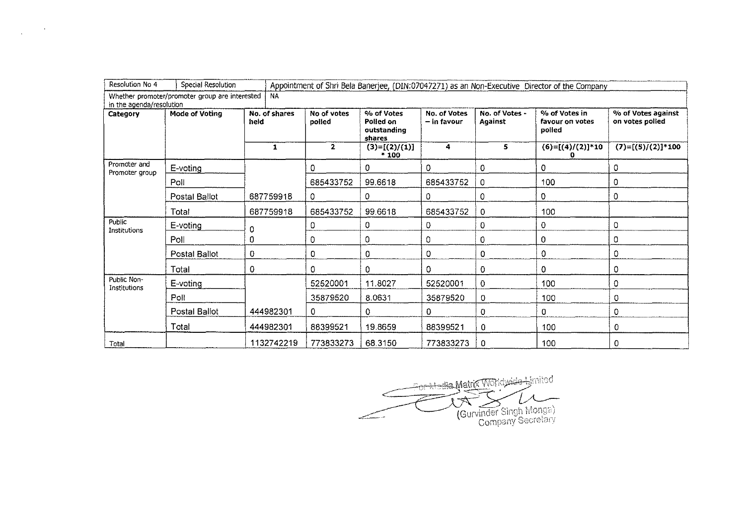| Resolution No 4                | Special Resolution                             |                       | Appointment of Shri Bela Banerjee, (DIN:07047271) as an Non-Executive Director of the Company |                                                  |                             |                                  |                                            |                                                              |  |  |  |  |
|--------------------------------|------------------------------------------------|-----------------------|-----------------------------------------------------------------------------------------------|--------------------------------------------------|-----------------------------|----------------------------------|--------------------------------------------|--------------------------------------------------------------|--|--|--|--|
| in the agenda/resolution       | Whether promoter/promoter group are interested | <b>NA</b>             |                                                                                               |                                                  |                             |                                  |                                            |                                                              |  |  |  |  |
| Category                       | <b>Mode of Voting</b>                          | No. of shares<br>held | No of votes<br>polled                                                                         | % of Votes<br>Polled on<br>outstanding<br>shares | No. of Votes<br>– in favour | No. of Votes -<br><b>Against</b> | % of Votes in<br>favour on votes<br>polled | % of Votes against<br>on votes polled<br>$(7)=[(5)/(2)]*100$ |  |  |  |  |
|                                |                                                | $\mathbf{1}$          | $\mathbf{z}$                                                                                  | $(3)=[(2)/(1)]$<br>$*100$                        | 4                           | 5.                               | $(6)=[(4)/(2)]*10$<br>o                    |                                                              |  |  |  |  |
| Promoter and<br>Promoter group | E-voting                                       |                       | $\Omega$                                                                                      | $\mathbf{0}$                                     | 0                           | 0                                | 0                                          | 0                                                            |  |  |  |  |
|                                | Poll                                           |                       | 685433752                                                                                     | 99.6618                                          | 685433752                   | 0                                | 100                                        | 0                                                            |  |  |  |  |
|                                | Postal Ballot                                  | 687759918             | 0                                                                                             | 0                                                | 0                           | 0                                | $\mathbf 0$                                | 0                                                            |  |  |  |  |
|                                | Total                                          | 687759918             | 685433752                                                                                     | 99.6618                                          | 685433752                   | 0                                | 100                                        |                                                              |  |  |  |  |
| Public<br>Institutions         | E-voting                                       | 0                     | 0                                                                                             | 0                                                | 0                           | 0                                | 0                                          | 0                                                            |  |  |  |  |
|                                | Poll                                           | 0                     | 0                                                                                             | 0                                                | 0                           | 0                                | $\circ$                                    | 0                                                            |  |  |  |  |
|                                | Postal Ballot                                  | 0                     | 0                                                                                             | 0                                                | 0                           | 0                                | 0                                          | 0                                                            |  |  |  |  |
|                                | Total                                          | 0                     | 0                                                                                             | 0                                                | 0                           | 0                                | $\Omega$                                   | 0                                                            |  |  |  |  |
| Public Non-<br>Institutions    | E-voting                                       |                       | 52520001                                                                                      | 11.8027                                          | 52520001                    | 0                                | 100                                        | 0                                                            |  |  |  |  |
|                                | Poll                                           |                       | 35879520                                                                                      | 8.0631                                           | 35879520                    | 0                                | 100                                        | 0                                                            |  |  |  |  |
|                                | Postal Ballot                                  | 444982301             | 0                                                                                             | $\Omega$                                         | 0                           | 0                                | $\Omega$                                   | $\mathbf 0$                                                  |  |  |  |  |
|                                | Total                                          | 444982301             | 88399521                                                                                      | 19.8659                                          | 88399521                    | 0                                | 100                                        | 0                                                            |  |  |  |  |
| Total                          |                                                | 1132742219            | 773833273                                                                                     | 68.3150                                          | 773833273                   | 0                                | 100                                        | 0                                                            |  |  |  |  |

 $\mathcal{L}^{\mathcal{L}}$  , where  $\mathcal{L}^{\mathcal{L}}$ 

 $\sim$ 

. :~·1--bJ\.-~,... ! in·d~r"1 -····-~ ~-i\-L~Jiatn.,\_-~ "''u" "'~'" .. ··  $\rightarrow$   $\rightarrow$   $\rightarrow$  $\sqrt{2 \cdot \pi}$   $\sqrt{2 \cdot \pi}$   $\sqrt{2 \cdot \pi}$ ...\_~ \_\_\_. (Gurvlnder vu ,g~~ hn~nX\_':\_-~', Cormx;;nv ::::<;;cl e~;;\_-i;\_ :,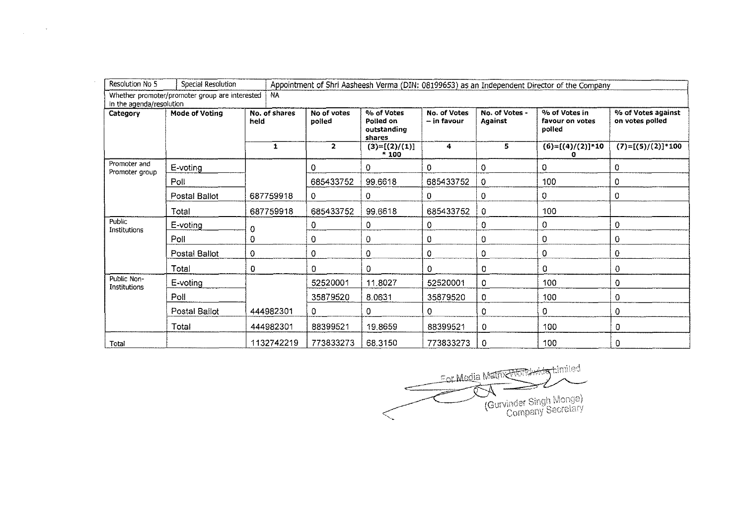| Category                       | Mode of Voting | No. of shares<br>held | No of votes<br>polled | % of Votes<br>Polled on<br>outstanding<br>shares | No. of Votes<br>- in favour | No. of Votes -<br>Against | % of Votes in<br>favour on votes<br>polled | % of Votes against<br>on votes polled<br>$(7)=[(5)/(2)]*100$ |  |
|--------------------------------|----------------|-----------------------|-----------------------|--------------------------------------------------|-----------------------------|---------------------------|--------------------------------------------|--------------------------------------------------------------|--|
|                                |                | 1                     | $\mathbf{2}$          | $(3)=[(2)/(1)]$<br>$+100$                        | 4                           | 5.                        | $(6)=[(4)/(2)]*10$<br>п                    |                                                              |  |
| Promoter and<br>Promoter group | E-voting       |                       | 0                     | 0.                                               | 0                           | 0                         | 0                                          | 0                                                            |  |
|                                | Poll           |                       | 685433752             | 99.6618                                          | 685433752                   | 0                         | 100                                        | $\circ$                                                      |  |
|                                | Postal Ballot  | 687759918             | 0                     | 0                                                | 0                           | 0                         | 0                                          | 0                                                            |  |
|                                | Total          | 687759918             | 685433752             | 99.6618                                          | 685433752                   | 0                         | 100                                        |                                                              |  |
| Public<br>Institutions         | E-voting       | 0                     | 0                     | 0                                                | 0                           | 0                         | 0                                          | 0                                                            |  |
|                                | Poll           | 0                     | 0                     | 0                                                | 0                           | 0                         | 0                                          | 0                                                            |  |
|                                | Postal Ballot  | $\mathbf 0$           | 0                     | 0                                                | 0                           | 0                         | $\mathbf 0$                                | 0                                                            |  |
|                                | Total          | $\Omega$              | $\mathbf 0$           | $\Omega$                                         | 0                           | 0                         | 0                                          | 0                                                            |  |
| Public Non-<br>Institutions    | E-voting       |                       | 52520001              | 11.8027                                          | 52520001                    | 0                         | 100                                        | $\mathbf 0$                                                  |  |
|                                | Poll           |                       | 35879520              | 8.0631                                           | 35879520                    | 0                         | 100                                        | 0                                                            |  |
|                                | Postal Ballot  | 444982301             | 0                     | 0                                                | 0                           | 0                         | 0                                          | 0                                                            |  |
|                                | Total          | 444982301             | 88399521              | 19,8659                                          | 88399521                    | 0                         | 100                                        | $\overline{O}$                                               |  |
| Total                          |                | 1132742219            | 773833273             | 68.3150                                          | 773833273                   | 0                         | 100                                        | 0                                                            |  |

 $\label{eq:2.1} \frac{1}{\sqrt{2\pi}}\int_{\mathbb{R}^{2}}\frac{1}{\sqrt{2\pi}}\left(\frac{1}{\sqrt{2\pi}}\right)^{2}d\mu\,d\mu\,d\mu\,.$ 

 $\epsilon$  -  $r$  Media Matrix  $\epsilon$  of denoty  $\epsilon$  in 833273 0 100 0<br>
For Media Matrix Month of Limited<br>
Councing of Singh Monga) U. (Gurvinder Singh Monga)<br>Company Secretary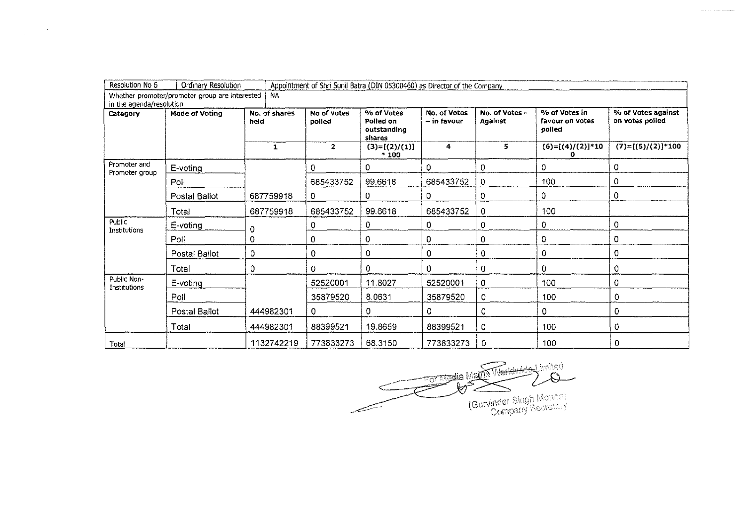| Resolution No 6                      | Ordinary Resolution                            |                       |                       | Appointment of Shri Sunil Batra (DIN 05300460) as Director of the Company |                             |                                  |                                            |                                                              |  |
|--------------------------------------|------------------------------------------------|-----------------------|-----------------------|---------------------------------------------------------------------------|-----------------------------|----------------------------------|--------------------------------------------|--------------------------------------------------------------|--|
|                                      | Whether promoter/promoter group are interested | <b>NA</b>             |                       |                                                                           |                             |                                  |                                            |                                                              |  |
| in the agenda/resolution<br>Category | Mode of Voting                                 | No. of shares<br>held | No of votes<br>polled | % of Votes<br>Polled on<br>outstanding<br>shares                          | No. of Votes<br>– in favour | No. of Votes -<br><b>Against</b> | % of Votes in<br>favour on votes<br>polled | % of Votes against<br>on votes polled<br>$(7)=[(5)/(2)]*100$ |  |
|                                      |                                                | 1                     | $\mathbf{z}$          | $(3)=[(2)/(1)]$<br>$*100$                                                 | 4                           | 5                                | $(6)=[(4)/(2)]*10$                         |                                                              |  |
| Promoter and<br>Promoter group       | E-voting                                       |                       | 0                     | 0                                                                         | 0                           | 0                                | 0                                          | 0                                                            |  |
|                                      | Poll                                           |                       | 685433752             | 99.6618                                                                   | 685433752                   | 0                                | 100                                        | 0                                                            |  |
|                                      | Postal Ballot                                  | 687759918             | 0                     | 0                                                                         | 0                           | $\mathbf 0$                      | 0                                          | 0                                                            |  |
|                                      | Total                                          | 687759918             | 685433752             | 99.6618                                                                   | 685433752                   | 0                                | 100                                        |                                                              |  |
| Public<br>Institutions               | E-voting                                       | 0                     | 0                     | 0                                                                         | 0                           | 0                                | 0                                          | $\Omega$                                                     |  |
|                                      | Poll                                           | 0                     | 0                     | 0                                                                         | 0                           | 0                                | 0                                          | o                                                            |  |
|                                      | Postal Ballot                                  | 0                     | 0                     | 0                                                                         | 0                           | 0                                | 0                                          | 0                                                            |  |
|                                      | Total                                          | 0                     | 0                     | 0                                                                         | 0                           | $\circ$                          | 0                                          | 0                                                            |  |
| Public Non-<br>Institutions          | E-voting                                       |                       | 52520001              | 11.8027                                                                   | 52520001                    | 0                                | 100                                        | 0                                                            |  |
|                                      | Poll                                           |                       | 35879520              | 8.0631                                                                    | 35879520                    | 0                                | 100                                        | 0                                                            |  |
|                                      | Postal Ballot                                  | 444982301             | $\overline{0}$        | $\Omega$                                                                  | 0                           | 0                                | 0                                          | 0                                                            |  |
|                                      | Total                                          | 444982301             | 88399521              | 19.8659                                                                   | 88399521                    | 0                                | 100                                        | 0                                                            |  |
| Total                                |                                                | 1132742219            | 773833273             | 68.3150                                                                   | 773833273                   | 0                                | 100                                        | 0                                                            |  |

 $\label{eq:2.1} \frac{1}{\sqrt{2\pi}}\int_{\mathbb{R}^{2}}\frac{1}{\sqrt{2\pi}}\left(\frac{1}{\sqrt{2\pi}}\right)^{2}d\mu\left(\frac{1}{\sqrt{2\pi}}\right)dx$ 

befirri Lasiyas **Toolia** Martin Ê X) Gurvinder Singh Mongal --·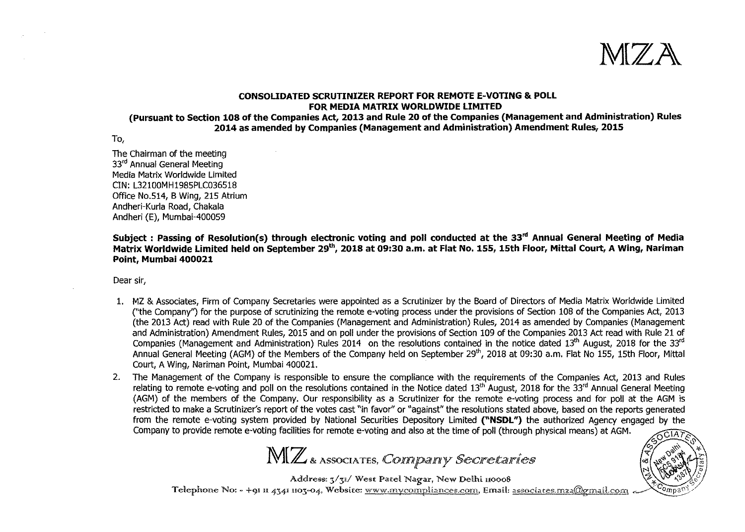**:M[ZA** 

## **CONSOLIDATED SCRUTINIZER REPORT FOR REMOTE E-VOTING & POLL FOR MEDIA MATRIX WORLDWIDE LIMITED**

**(Pursuant to Section 108 of the Companies Act, 2013 and Rule 20 of the Companies (Management and Administration) Rules 2014 as amended by Companies (Management and Administration) Amendment Rules, 2015** 

To,

The Chairman of the meeting 33rd Annual General Meeting Media Matrix Worldwide Limited CIN: L32100MH1985PLC036518 Office No.514, B Wing, 215 Atrium Andheri-Kurla Road, Chakala Andheri (E), Mumbai-400059

**Subject : Passing of Resolution(s) through electronic voting and poll conducted at the 33"' Annual General Meeting of Media Matrix Worldwide limited held on September 29<sup>1</sup> \ 2018 at 09:30 a.m. at Flat No. 155, 15th Floor, Mittal Court, A Wing, Nariman Point, Mumbai 400021** 

Dear sir,

- 1. MZ & Associates, Firm of Company Secretaries were appointed as a Scrutinizer by the Board of Directors of Media Matrix Worldwide Limited ("the Company") for the purpose of scrutinizing the remote e-voting process under the provisions of Section 108 of the Companies Act, 2013 (the 2013 Act) read with Rule 20 of the Companies (Management and Administration) Rules, 2014 as amended by Companies (Management and Administration) Amendment Rules, 2015 and on poll under the provisions of Section 109 of the Companies 2013 Act read with Rule 21 of Companies (Management and Administration) Rules 2014 on the resolutions contained in the notice dated 13<sup>th</sup> August, 2018 for the 33<sup>rd</sup> Annual General Meeting (AGM) of the Members of the Company held on September 29<sup>th</sup>, 2018 at 09:30 a.m. Flat No 155, 15th Floor, Mittal Court, A Wing, Nariman Point, Mumbai 400021.
- 2. The Management of the Company is responsible to ensure the compliance with the requirements of the Companies Act, 2013 and Rules relating to remote e-voting and poll on the resolutions contained in the Notice dated 13<sup>th</sup> August, 2018 for the 33<sup>rd</sup> Annual General Meeting (AGM) of the members of the Company. Our responsibility as a Scrutinizer for the remote e-voting process and for poll at the AGM is restricted to make a Scrutinizer's report of the votes cast "in favor" or "against" the resolutions stated above, based on the reports generated from the remote e-voting system provided by National Securities Depository Limited **("NSDL"}** the authorized Agency engaged by the Company to provide remote e-voting facilities for remote e-voting and also at the time of poll (through physical means) at AGM. .

**l.** A(7)  $\sqrt{3}$   $\sqrt{2}$   $\sqrt{3}$   $\sqrt{3}$   $\sqrt{2}$   $\sqrt{3}$   $\sqrt{3}$   $\sqrt{3}$   $\sqrt{3}$   $\sqrt{3}$   $\sqrt{3}$   $\sqrt{3}$   $\sqrt{3}$   $\sqrt{3}$   $\sqrt{3}$   $\sqrt{3}$   $\sqrt{3}$   $\sqrt{3}$   $\sqrt{3}$   $\sqrt{3}$   $\sqrt{3}$   $\sqrt{3}$   $\sqrt{3}$   $\sqrt{3}$   $\sqrt{3}$   $\sqrt{3}$   $\sqrt$  $1\nabla\mathbf{I} \mathbb{Z}$  & Associates, *Connipainly Secretaries*  $\begin{bmatrix} \mathcal{A} & \mathcal{A}^{\alpha} & \mathcal{A}^{\alpha} \\ \mathcal{A}^{\alpha} & \mathcal{A}^{\alpha} & \mathcal{B}^{\alpha} \end{bmatrix}$ 

Address: 3/31/ West Patel Nagar, New Delhi 110008<br>Telephone No: - +91 11 4341 1103-04, Website: www.mycompliances.com, Email: associates.mza@gmail.com

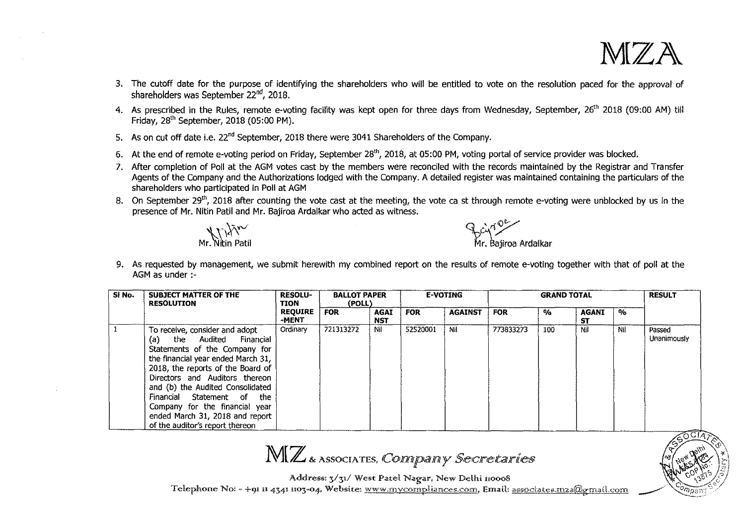

 $\frac{1}{2}$ 

15351 **WASSAS** 

 $\mathbb{E}[\mathbb{E}^{\mathbb{W}}]$ 

 $\bigg)$ 

- 3. The cutoff date for the purpose of identifying the shareholders who will be entitled to vote on the resolution paced for the approval of shareholders was September 22"d, 2018.
- 4. As prescribed in the Rules, remote e-voting facility was kept open for three days from Wednesday, September, 26<sup>th</sup> 2018 (09:00 AM) till Friday, 28'" September, 2018 (05:00 PM).
- 5. As on cut off date i.e. 22<sup>nd</sup> September, 2018 there were 3041 Shareholders of the Company.
- 6. At the end of remote e-voting period on Friday, September 28'", 2018, at 05:00 PM, voting portal of service provider was blocked.
- 7. After completion of Poll at the AGM votes cast by the members were reconciled with the records maintained by the Registrar and Transfer Agents of the Company and the Authorizations lodged with the Company. A detailed register was maintained containing the particulars of the shareholders who participated in Poll at AGM
- 8. On September 29<sup>th</sup>, 2018 after counting the vote cast at the meeting, the vote ca st through remote e-voting were unblocked by us in the presence of Mr. Nitin Patil and Mr. Bajiroa Ardalkar who acted as witness.

 $\frac{1}{2}$ ciy<sup>n Ob</sup>randalkar

9. As requested by management, we submit herewith my combined report on the results of remote e-voting together with that of poll at the AGM as under :-

| Si No. | SUBJECT MATTER OF THE<br><b>RESOLUTION</b> | <b>RESOLU-</b><br>TION  |            | <b>BALLOT PAPER</b><br>(POLL) |            | <b>E-VOTING</b> |            | <b>GRAND TOTAL</b>    |                    |     |             |
|--------|--------------------------------------------|-------------------------|------------|-------------------------------|------------|-----------------|------------|-----------------------|--------------------|-----|-------------|
|        |                                            | <b>REQUIRE</b><br>-MENT | <b>FOR</b> | AGAI<br><b>NST</b>            | <b>FOR</b> | <b>AGAINST</b>  | <b>FOR</b> | $\mathbf{0}_{\alpha}$ | <b>AGANI</b><br>ST | %   |             |
|        | To receive, consider and adopt             | Ordinary                | 721313272  | Νil                           | 52520001   | Nil             | 773833273  | 100                   | Nil                | Nil | Passed      |
|        | the Audited Financial<br>(a)               |                         |            |                               |            |                 |            |                       |                    |     | Unanimously |
|        | Statements of the Company for              |                         |            |                               |            |                 |            |                       |                    |     |             |
|        | the financial year ended March 31,         |                         |            |                               |            |                 |            |                       |                    |     |             |
|        | 2018, the reports of the Board of          |                         |            |                               |            |                 |            |                       |                    |     |             |
|        | Directors and Auditors thereon             |                         |            |                               |            |                 |            |                       |                    |     |             |
|        | and (b) the Audited Consolidated           |                         |            |                               |            |                 |            |                       |                    |     |             |
|        | Financial Statement of<br>the              |                         |            |                               |            |                 |            |                       |                    |     |             |
|        | Company for the financial year             |                         |            |                               |            |                 |            |                       |                    |     |             |
|        | ended March 31, 2018 and report            |                         |            |                               |            |                 |            |                       |                    |     |             |
|        | of the auditor's report thereon            |                         |            |                               |            |                 |            |                       |                    |     |             |

MIZ & ASSOCIATES, CONNIDANY Secretaries

Address: 3/31/ West Patel Nagar, New Delhi 110008

Telephone No: - +91 11 4341 1103-04, Website: www.mycompliances.com, Email: associates.mza@gmail.com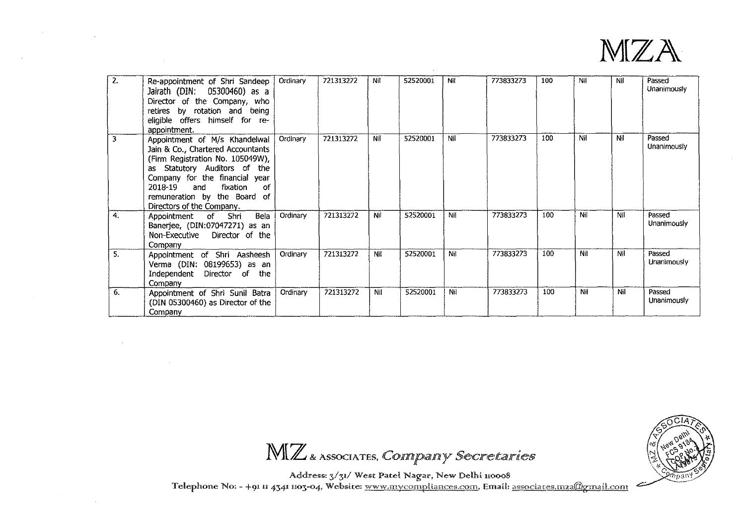

| 2. | Re-appointment of Shri Sandeep<br>Jairath (DIN: 05300460) as a<br>Director of the Company, who<br>retires by rotation and being<br>eligible offers himself for re-<br>appointment.                                                                                        | Ordinary | 721313272 | Nil | 52520001 | Nil | 773833273 | 100 | Nil | Nil | Passed<br>Unanimously |
|----|---------------------------------------------------------------------------------------------------------------------------------------------------------------------------------------------------------------------------------------------------------------------------|----------|-----------|-----|----------|-----|-----------|-----|-----|-----|-----------------------|
| 3  | Appointment of M/s Khandelwal<br>Jain & Co., Chartered Accountants<br>(Firm Registration No. 105049W),<br>as Statutory Auditors of the<br>Company for the financial year<br>fixation<br>2018-19<br>οf<br>and<br>remuneration by the Board of<br>Directors of the Company. | Ordinary | 721313272 | Nil | 52520001 | Nil | 773833273 | 100 | Nil | Nil | Passed<br>Unanimously |
| 4. | Bela<br>Appointment of Shri<br>Banerjee, (DIN:07047271) as an<br>Non-Executive Director of the<br>Company                                                                                                                                                                 | Ordinary | 721313272 | Nil | 52520001 | Nil | 773833273 | 100 | Nil | Nil | Passed<br>Unanimously |
| 5. | Appointment of Shri Aasheesh<br>Verma (DIN: 08199653) as an<br>Independent Director of the<br>Company                                                                                                                                                                     | Ordinary | 721313272 | Nil | 52520001 | Nil | 773833273 | 100 | Nil | Nil | Passed<br>Unanimously |
| 6. | Appointment of Shri Sunil Batra<br>(DIN 05300460) as Director of the<br>Company                                                                                                                                                                                           | Ordinary | 721313272 | Nit | 52520001 | Nil | 773833273 | 100 | Nil | Nil | Passed<br>Unanimously |

 $\mathbf{v}$ 



 $\text{MLZ}$  & Associates, *Compainy Secretaries* 

Address: 3/31/ West Patel Na<mark>gar,</mark> New Delhi 110008<br>Telephone No: - +91 **i1 4341 1103-04, Website: <u>www.mycompliances.com</u>, Email: <u>associates.mza@gmail.com</u>**